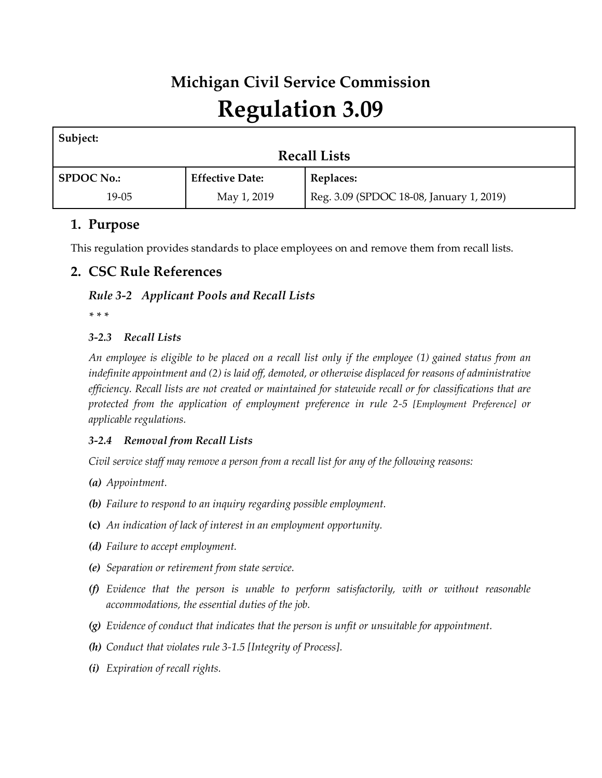# **Michigan Civil Service Commission Regulation 3.09**

| Subject:            |                        |                                          |
|---------------------|------------------------|------------------------------------------|
| <b>Recall Lists</b> |                        |                                          |
| <b>SPDOC No.:</b>   | <b>Effective Date:</b> | <b>Replaces:</b>                         |
| $19-05$             | May 1, 2019            | Reg. 3.09 (SPDOC 18-08, January 1, 2019) |

# **1. Purpose**

This regulation provides standards to place employees on and remove them from recall lists.

# **2. CSC Rule References**

## *Rule 3-2 Applicant Pools and Recall Lists*

*\* \* \**

## *3-2.3 Recall Lists*

*An employee is eligible to be placed on a recall list only if the employee (1) gained status from an indefinite appointment and (2) is laid off, demoted, or otherwise displaced for reasons of administrative efficiency. Recall lists are not created or maintained for statewide recall or for classifications that are protected from the application of employment preference in rule 2-5 [Employment Preference] or applicable regulations.*

## *3-2.4 Removal from Recall Lists*

*Civil service staff may remove a person from a recall list for any of the following reasons:*

- *(a) Appointment.*
- *(b) Failure to respond to an inquiry regarding possible employment.*
- **(c)** *An indication of lack of interest in an employment opportunity.*
- *(d) Failure to accept employment.*
- *(e) Separation or retirement from state service.*
- *(f) Evidence that the person is unable to perform satisfactorily, with or without reasonable accommodations, the essential duties of the job.*
- *(g) Evidence of conduct that indicates that the person is unfit or unsuitable for appointment.*
- *(h) Conduct that violates rule 3-1.5 [Integrity of Process].*
- *(i) Expiration of recall rights.*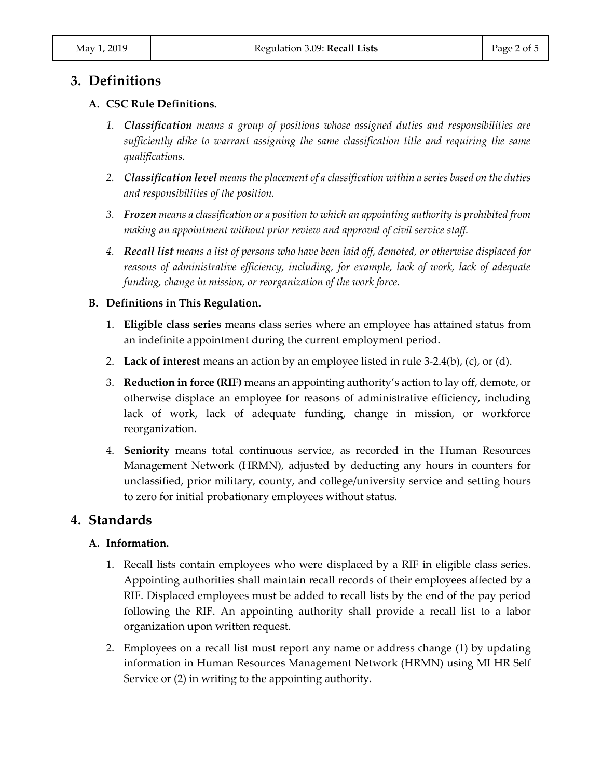## **3. Definitions**

#### **A. CSC Rule Definitions.**

- *1. Classification means a group of positions whose assigned duties and responsibilities are sufficiently alike to warrant assigning the same classification title and requiring the same qualifications.*
- *2. Classification level means the placement of a classification within a series based on the duties and responsibilities of the position.*
- *3. Frozen means a classification or a position to which an appointing authority is prohibited from making an appointment without prior review and approval of civil service staff.*
- *4. Recall list means a list of persons who have been laid off, demoted, or otherwise displaced for reasons of administrative efficiency, including, for example, lack of work, lack of adequate funding, change in mission, or reorganization of the work force.*

#### **B. Definitions in This Regulation.**

- 1. **Eligible class series** means class series where an employee has attained status from an indefinite appointment during the current employment period.
- 2. **Lack of interest** means an action by an employee listed in rule 3-2.4(b), (c), or (d).
- 3. **Reduction in force (RIF)** means an appointing authority's action to lay off, demote, or otherwise displace an employee for reasons of administrative efficiency, including lack of work, lack of adequate funding, change in mission, or workforce reorganization.
- 4. **Seniority** means total continuous service, as recorded in the Human Resources Management Network (HRMN), adjusted by deducting any hours in counters for unclassified, prior military, county, and college/university service and setting hours to zero for initial probationary employees without status.

## **4. Standards**

#### **A. Information.**

- 1. Recall lists contain employees who were displaced by a RIF in eligible class series. Appointing authorities shall maintain recall records of their employees affected by a RIF. Displaced employees must be added to recall lists by the end of the pay period following the RIF. An appointing authority shall provide a recall list to a labor organization upon written request.
- 2. Employees on a recall list must report any name or address change (1) by updating information in Human Resources Management Network (HRMN) using MI HR Self Service or (2) in writing to the appointing authority.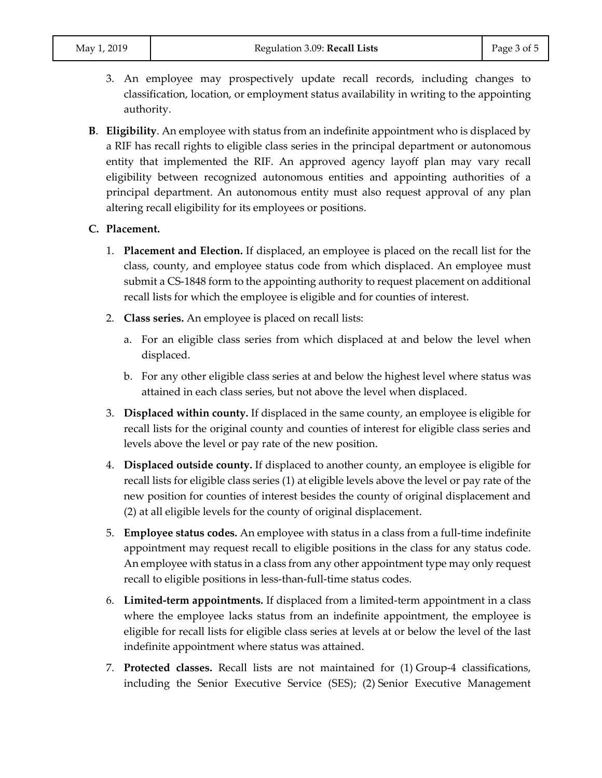- 3. An employee may prospectively update recall records, including changes to classification, location, or employment status availability in writing to the appointing authority.
- **B**. **Eligibility**. An employee with status from an indefinite appointment who is displaced by a RIF has recall rights to eligible class series in the principal department or autonomous entity that implemented the RIF. An approved agency layoff plan may vary recall eligibility between recognized autonomous entities and appointing authorities of a principal department. An autonomous entity must also request approval of any plan altering recall eligibility for its employees or positions.

#### **C. Placement.**

- 1. **Placement and Election.** If displaced, an employee is placed on the recall list for the class, county, and employee status code from which displaced. An employee must submit a CS-1848 form to the appointing authority to request placement on additional recall lists for which the employee is eligible and for counties of interest.
- 2. **Class series.** An employee is placed on recall lists:
	- a. For an eligible class series from which displaced at and below the level when displaced.
	- b. For any other eligible class series at and below the highest level where status was attained in each class series, but not above the level when displaced.
- 3. **Displaced within county.** If displaced in the same county, an employee is eligible for recall lists for the original county and counties of interest for eligible class series and levels above the level or pay rate of the new position.
- 4. **Displaced outside county.** If displaced to another county, an employee is eligible for recall lists for eligible class series (1) at eligible levels above the level or pay rate of the new position for counties of interest besides the county of original displacement and (2) at all eligible levels for the county of original displacement.
- 5. **Employee status codes.** An employee with status in a class from a full-time indefinite appointment may request recall to eligible positions in the class for any status code. An employee with status in a class from any other appointment type may only request recall to eligible positions in less-than-full-time status codes.
- 6. **Limited-term appointments.** If displaced from a limited-term appointment in a class where the employee lacks status from an indefinite appointment, the employee is eligible for recall lists for eligible class series at levels at or below the level of the last indefinite appointment where status was attained.
- 7. **Protected classes.** Recall lists are not maintained for (1) Group-4 classifications, including the Senior Executive Service (SES); (2) Senior Executive Management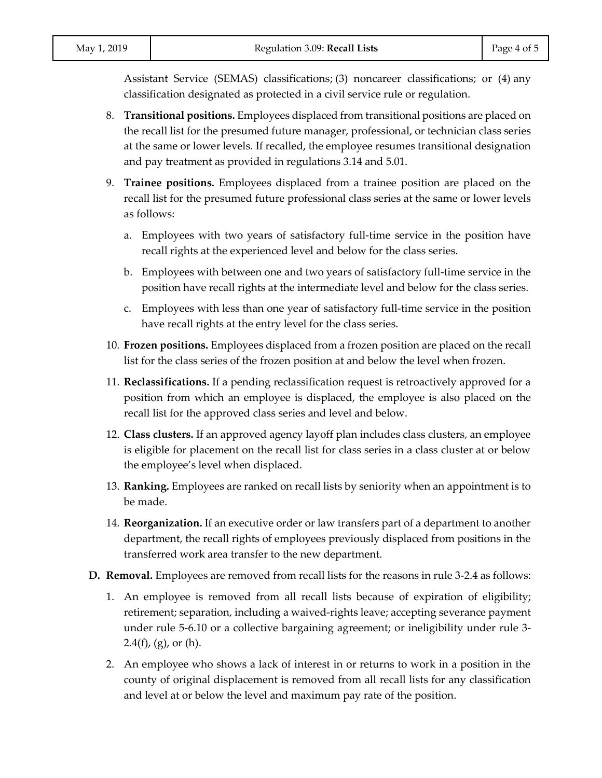Assistant Service (SEMAS) classifications; (3) noncareer classifications; or (4) any classification designated as protected in a civil service rule or regulation.

- 8. **Transitional positions.** Employees displaced from transitional positions are placed on the recall list for the presumed future manager, professional, or technician class series at the same or lower levels. If recalled, the employee resumes transitional designation and pay treatment as provided in regulations 3.14 and 5.01.
- 9. **Trainee positions.** Employees displaced from a trainee position are placed on the recall list for the presumed future professional class series at the same or lower levels as follows:
	- a. Employees with two years of satisfactory full-time service in the position have recall rights at the experienced level and below for the class series.
	- b. Employees with between one and two years of satisfactory full-time service in the position have recall rights at the intermediate level and below for the class series.
	- c. Employees with less than one year of satisfactory full-time service in the position have recall rights at the entry level for the class series.
- 10. **Frozen positions.** Employees displaced from a frozen position are placed on the recall list for the class series of the frozen position at and below the level when frozen.
- 11. **Reclassifications.** If a pending reclassification request is retroactively approved for a position from which an employee is displaced, the employee is also placed on the recall list for the approved class series and level and below.
- 12. **Class clusters.** If an approved agency layoff plan includes class clusters, an employee is eligible for placement on the recall list for class series in a class cluster at or below the employee's level when displaced.
- 13. **Ranking.** Employees are ranked on recall lists by seniority when an appointment is to be made.
- 14. **Reorganization.** If an executive order or law transfers part of a department to another department, the recall rights of employees previously displaced from positions in the transferred work area transfer to the new department.
- **D. Removal.** Employees are removed from recall lists for the reasons in rule 3-2.4 as follows:
	- 1. An employee is removed from all recall lists because of expiration of eligibility; retirement; separation, including a waived-rights leave; accepting severance payment under rule 5-6.10 or a collective bargaining agreement; or ineligibility under rule 3-  $2.4(f)$ , (g), or (h).
	- 2. An employee who shows a lack of interest in or returns to work in a position in the county of original displacement is removed from all recall lists for any classification and level at or below the level and maximum pay rate of the position.